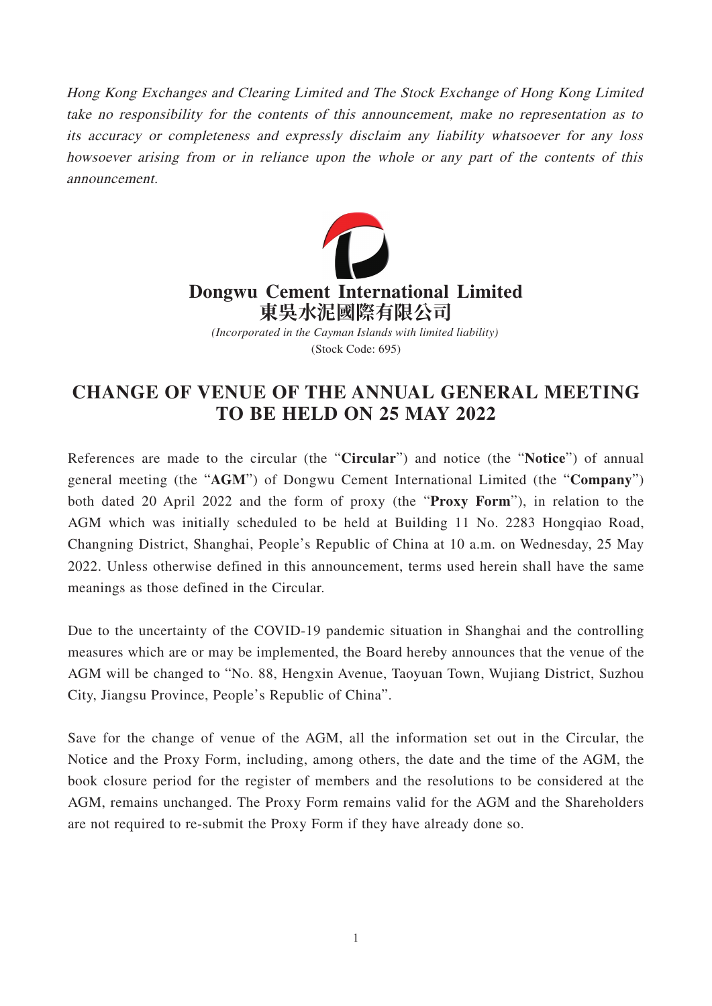Hong Kong Exchanges and Clearing Limited and The Stock Exchange of Hong Kong Limited take no responsibility for the contents of this announcement, make no representation as to its accuracy or completeness and expressly disclaim any liability whatsoever for any loss howsoever arising from or in reliance upon the whole or any part of the contents of this announcement.



## **CHANGE OF VENUE OF THE ANNUAL GENERAL MEETING TO BE HELD ON 25 MAY 2022**

References are made to the circular (the "**Circular**") and notice (the "**Notice**") of annual general meeting (the "**AGM**") of Dongwu Cement International Limited (the "**Company**") both dated 20 April 2022 and the form of proxy (the "**Proxy Form**"), in relation to the AGM which was initially scheduled to be held at Building 11 No. 2283 Hongqiao Road, Changning District, Shanghai, People's Republic of China at 10 a.m. on Wednesday, 25 May 2022. Unless otherwise defined in this announcement, terms used herein shall have the same meanings as those defined in the Circular.

Due to the uncertainty of the COVID-19 pandemic situation in Shanghai and the controlling measures which are or may be implemented, the Board hereby announces that the venue of the AGM will be changed to "No. 88, Hengxin Avenue, Taoyuan Town, Wujiang District, Suzhou City, Jiangsu Province, People's Republic of China".

Save for the change of venue of the AGM, all the information set out in the Circular, the Notice and the Proxy Form, including, among others, the date and the time of the AGM, the book closure period for the register of members and the resolutions to be considered at the AGM, remains unchanged. The Proxy Form remains valid for the AGM and the Shareholders are not required to re-submit the Proxy Form if they have already done so.